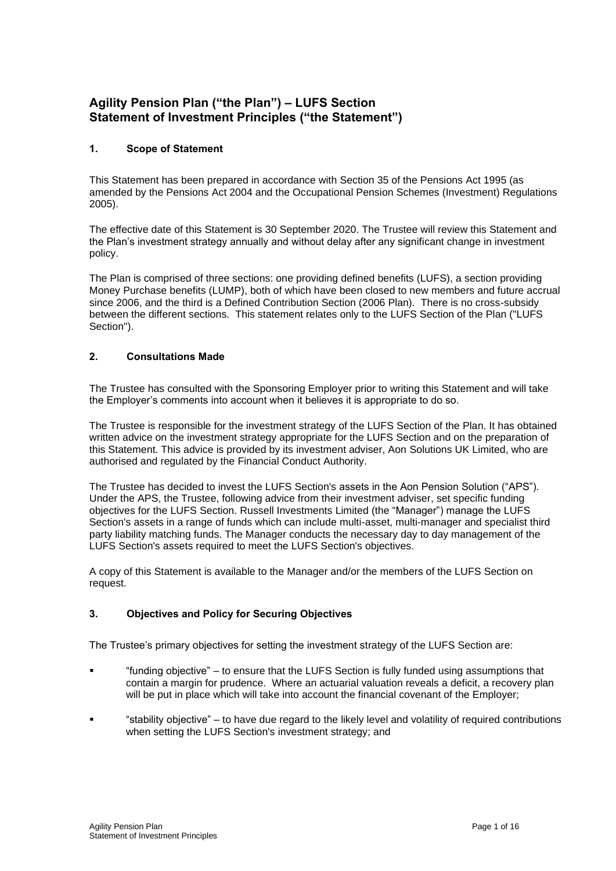# **Agility Pension Plan ("the Plan") – LUFS Section Statement of Investment Principles ("the Statement")**

# **1. Scope of Statement**

This Statement has been prepared in accordance with Section 35 of the Pensions Act 1995 (as amended by the Pensions Act 2004 and the Occupational Pension Schemes (Investment) Regulations 2005).

The effective date of this Statement is 30 September 2020. The Trustee will review this Statement and the Plan's investment strategy annually and without delay after any significant change in investment policy.

The Plan is comprised of three sections: one providing defined benefits (LUFS), a section providing Money Purchase benefits (LUMP), both of which have been closed to new members and future accrual since 2006, and the third is a Defined Contribution Section (2006 Plan). There is no cross-subsidy between the different sections. This statement relates only to the LUFS Section of the Plan ("LUFS Section").

# **2. Consultations Made**

The Trustee has consulted with the Sponsoring Employer prior to writing this Statement and will take the Employer's comments into account when it believes it is appropriate to do so.

The Trustee is responsible for the investment strategy of the LUFS Section of the Plan. It has obtained written advice on the investment strategy appropriate for the LUFS Section and on the preparation of this Statement. This advice is provided by its investment adviser, Aon Solutions UK Limited, who are authorised and regulated by the Financial Conduct Authority.

The Trustee has decided to invest the LUFS Section's assets in the Aon Pension Solution ("APS"). Under the APS, the Trustee, following advice from their investment adviser, set specific funding objectives for the LUFS Section. Russell Investments Limited (the "Manager") manage the LUFS Section's assets in a range of funds which can include multi-asset, multi-manager and specialist third party liability matching funds. The Manager conducts the necessary day to day management of the LUFS Section's assets required to meet the LUFS Section's objectives.

A copy of this Statement is available to the Manager and/or the members of the LUFS Section on request.

# **3. Objectives and Policy for Securing Objectives**

The Trustee's primary objectives for setting the investment strategy of the LUFS Section are:

- "funding objective" to ensure that the LUFS Section is fully funded using assumptions that contain a margin for prudence. Where an actuarial valuation reveals a deficit, a recovery plan will be put in place which will take into account the financial covenant of the Employer;
- "stability objective" to have due regard to the likely level and volatility of required contributions when setting the LUFS Section's investment strategy; and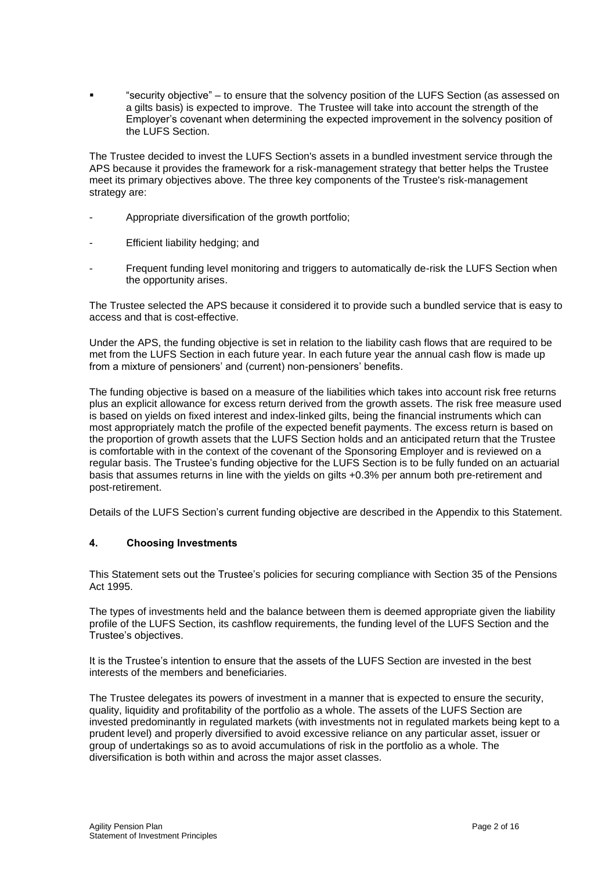"security objective" – to ensure that the solvency position of the LUFS Section (as assessed on a gilts basis) is expected to improve. The Trustee will take into account the strength of the Employer's covenant when determining the expected improvement in the solvency position of the LUFS Section.

The Trustee decided to invest the LUFS Section's assets in a bundled investment service through the APS because it provides the framework for a risk-management strategy that better helps the Trustee meet its primary objectives above. The three key components of the Trustee's risk-management strategy are:

- Appropriate diversification of the growth portfolio;
- Efficient liability hedging; and
- Frequent funding level monitoring and triggers to automatically de-risk the LUFS Section when the opportunity arises.

The Trustee selected the APS because it considered it to provide such a bundled service that is easy to access and that is cost-effective.

Under the APS, the funding objective is set in relation to the liability cash flows that are required to be met from the LUFS Section in each future year. In each future year the annual cash flow is made up from a mixture of pensioners' and (current) non-pensioners' benefits.

The funding objective is based on a measure of the liabilities which takes into account risk free returns plus an explicit allowance for excess return derived from the growth assets. The risk free measure used is based on yields on fixed interest and index-linked gilts, being the financial instruments which can most appropriately match the profile of the expected benefit payments. The excess return is based on the proportion of growth assets that the LUFS Section holds and an anticipated return that the Trustee is comfortable with in the context of the covenant of the Sponsoring Employer and is reviewed on a regular basis. The Trustee's funding objective for the LUFS Section is to be fully funded on an actuarial basis that assumes returns in line with the yields on gilts +0.3% per annum both pre-retirement and post-retirement.

Details of the LUFS Section's current funding objective are described in the Appendix to this Statement.

## **4. Choosing Investments**

This Statement sets out the Trustee's policies for securing compliance with Section 35 of the Pensions Act 1995.

The types of investments held and the balance between them is deemed appropriate given the liability profile of the LUFS Section, its cashflow requirements, the funding level of the LUFS Section and the Trustee's objectives.

It is the Trustee's intention to ensure that the assets of the LUFS Section are invested in the best interests of the members and beneficiaries.

The Trustee delegates its powers of investment in a manner that is expected to ensure the security, quality, liquidity and profitability of the portfolio as a whole. The assets of the LUFS Section are invested predominantly in regulated markets (with investments not in regulated markets being kept to a prudent level) and properly diversified to avoid excessive reliance on any particular asset, issuer or group of undertakings so as to avoid accumulations of risk in the portfolio as a whole. The diversification is both within and across the major asset classes.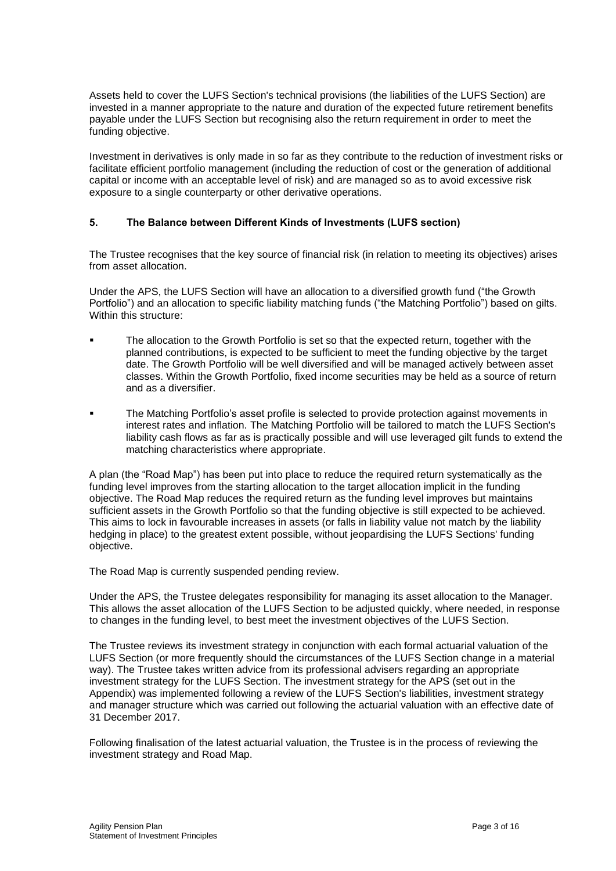Assets held to cover the LUFS Section's technical provisions (the liabilities of the LUFS Section) are invested in a manner appropriate to the nature and duration of the expected future retirement benefits payable under the LUFS Section but recognising also the return requirement in order to meet the funding objective.

Investment in derivatives is only made in so far as they contribute to the reduction of investment risks or facilitate efficient portfolio management (including the reduction of cost or the generation of additional capital or income with an acceptable level of risk) and are managed so as to avoid excessive risk exposure to a single counterparty or other derivative operations.

### **5. The Balance between Different Kinds of Investments (LUFS section)**

The Trustee recognises that the key source of financial risk (in relation to meeting its objectives) arises from asset allocation.

Under the APS, the LUFS Section will have an allocation to a diversified growth fund ("the Growth Portfolio") and an allocation to specific liability matching funds ("the Matching Portfolio") based on gilts. Within this structure:

- The allocation to the Growth Portfolio is set so that the expected return, together with the planned contributions, is expected to be sufficient to meet the funding objective by the target date. The Growth Portfolio will be well diversified and will be managed actively between asset classes. Within the Growth Portfolio, fixed income securities may be held as a source of return and as a diversifier.
- The Matching Portfolio's asset profile is selected to provide protection against movements in interest rates and inflation. The Matching Portfolio will be tailored to match the LUFS Section's liability cash flows as far as is practically possible and will use leveraged gilt funds to extend the matching characteristics where appropriate.

A plan (the "Road Map") has been put into place to reduce the required return systematically as the funding level improves from the starting allocation to the target allocation implicit in the funding objective. The Road Map reduces the required return as the funding level improves but maintains sufficient assets in the Growth Portfolio so that the funding objective is still expected to be achieved. This aims to lock in favourable increases in assets (or falls in liability value not match by the liability hedging in place) to the greatest extent possible, without jeopardising the LUFS Sections' funding objective.

The Road Map is currently suspended pending review.

Under the APS, the Trustee delegates responsibility for managing its asset allocation to the Manager. This allows the asset allocation of the LUFS Section to be adjusted quickly, where needed, in response to changes in the funding level, to best meet the investment objectives of the LUFS Section.

The Trustee reviews its investment strategy in conjunction with each formal actuarial valuation of the LUFS Section (or more frequently should the circumstances of the LUFS Section change in a material way). The Trustee takes written advice from its professional advisers regarding an appropriate investment strategy for the LUFS Section. The investment strategy for the APS (set out in the Appendix) was implemented following a review of the LUFS Section's liabilities, investment strategy and manager structure which was carried out following the actuarial valuation with an effective date of 31 December 2017.

Following finalisation of the latest actuarial valuation, the Trustee is in the process of reviewing the investment strategy and Road Map.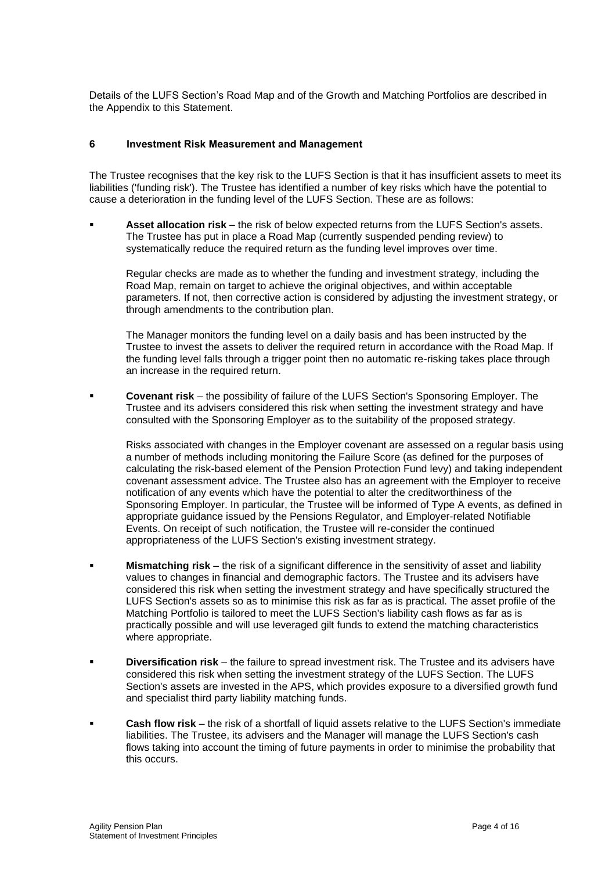Details of the LUFS Section's Road Map and of the Growth and Matching Portfolios are described in the Appendix to this Statement.

### **6 Investment Risk Measurement and Management**

The Trustee recognises that the key risk to the LUFS Section is that it has insufficient assets to meet its liabilities ('funding risk'). The Trustee has identified a number of key risks which have the potential to cause a deterioration in the funding level of the LUFS Section. These are as follows:

Asset allocation risk – the risk of below expected returns from the LUFS Section's assets. The Trustee has put in place a Road Map (currently suspended pending review) to systematically reduce the required return as the funding level improves over time.

Regular checks are made as to whether the funding and investment strategy, including the Road Map, remain on target to achieve the original objectives, and within acceptable parameters. If not, then corrective action is considered by adjusting the investment strategy, or through amendments to the contribution plan.

The Manager monitors the funding level on a daily basis and has been instructed by the Trustee to invest the assets to deliver the required return in accordance with the Road Map. If the funding level falls through a trigger point then no automatic re-risking takes place through an increase in the required return.

▪ **Covenant risk** – the possibility of failure of the LUFS Section's Sponsoring Employer. The Trustee and its advisers considered this risk when setting the investment strategy and have consulted with the Sponsoring Employer as to the suitability of the proposed strategy.

Risks associated with changes in the Employer covenant are assessed on a regular basis using a number of methods including monitoring the Failure Score (as defined for the purposes of calculating the risk-based element of the Pension Protection Fund levy) and taking independent covenant assessment advice. The Trustee also has an agreement with the Employer to receive notification of any events which have the potential to alter the creditworthiness of the Sponsoring Employer. In particular, the Trustee will be informed of Type A events, as defined in appropriate guidance issued by the Pensions Regulator, and Employer-related Notifiable Events. On receipt of such notification, the Trustee will re-consider the continued appropriateness of the LUFS Section's existing investment strategy.

- **EXECT Mismatching risk** the risk of a significant difference in the sensitivity of asset and liability values to changes in financial and demographic factors. The Trustee and its advisers have considered this risk when setting the investment strategy and have specifically structured the LUFS Section's assets so as to minimise this risk as far as is practical. The asset profile of the Matching Portfolio is tailored to meet the LUFS Section's liability cash flows as far as is practically possible and will use leveraged gilt funds to extend the matching characteristics where appropriate.
- **Diversification risk** the failure to spread investment risk. The Trustee and its advisers have considered this risk when setting the investment strategy of the LUFS Section. The LUFS Section's assets are invested in the APS, which provides exposure to a diversified growth fund and specialist third party liability matching funds.
- **Cash flow risk** the risk of a shortfall of liquid assets relative to the LUFS Section's immediate liabilities. The Trustee, its advisers and the Manager will manage the LUFS Section's cash flows taking into account the timing of future payments in order to minimise the probability that this occurs.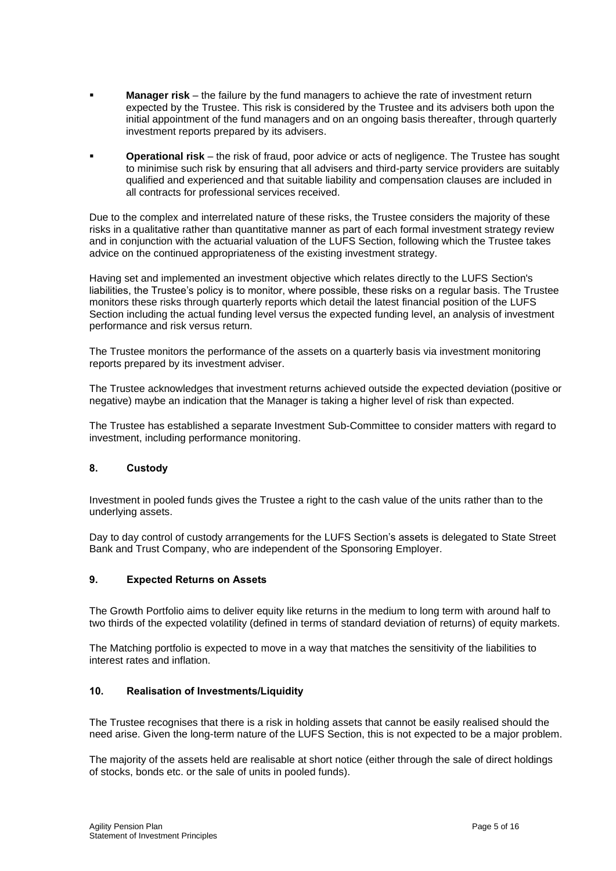- **Manager risk** the failure by the fund managers to achieve the rate of investment return expected by the Trustee. This risk is considered by the Trustee and its advisers both upon the initial appointment of the fund managers and on an ongoing basis thereafter, through quarterly investment reports prepared by its advisers.
- **Operational risk** the risk of fraud, poor advice or acts of negligence. The Trustee has sought to minimise such risk by ensuring that all advisers and third-party service providers are suitably qualified and experienced and that suitable liability and compensation clauses are included in all contracts for professional services received.

Due to the complex and interrelated nature of these risks, the Trustee considers the majority of these risks in a qualitative rather than quantitative manner as part of each formal investment strategy review and in conjunction with the actuarial valuation of the LUFS Section, following which the Trustee takes advice on the continued appropriateness of the existing investment strategy.

Having set and implemented an investment objective which relates directly to the LUFS Section's liabilities, the Trustee's policy is to monitor, where possible, these risks on a regular basis. The Trustee monitors these risks through quarterly reports which detail the latest financial position of the LUFS Section including the actual funding level versus the expected funding level, an analysis of investment performance and risk versus return.

The Trustee monitors the performance of the assets on a quarterly basis via investment monitoring reports prepared by its investment adviser.

The Trustee acknowledges that investment returns achieved outside the expected deviation (positive or negative) maybe an indication that the Manager is taking a higher level of risk than expected.

The Trustee has established a separate Investment Sub-Committee to consider matters with regard to investment, including performance monitoring.

## **8. Custody**

Investment in pooled funds gives the Trustee a right to the cash value of the units rather than to the underlying assets.

Day to day control of custody arrangements for the LUFS Section's assets is delegated to State Street Bank and Trust Company, who are independent of the Sponsoring Employer.

## **9. Expected Returns on Assets**

The Growth Portfolio aims to deliver equity like returns in the medium to long term with around half to two thirds of the expected volatility (defined in terms of standard deviation of returns) of equity markets.

The Matching portfolio is expected to move in a way that matches the sensitivity of the liabilities to interest rates and inflation.

#### **10. Realisation of Investments/Liquidity**

The Trustee recognises that there is a risk in holding assets that cannot be easily realised should the need arise. Given the long-term nature of the LUFS Section, this is not expected to be a major problem.

The majority of the assets held are realisable at short notice (either through the sale of direct holdings of stocks, bonds etc. or the sale of units in pooled funds).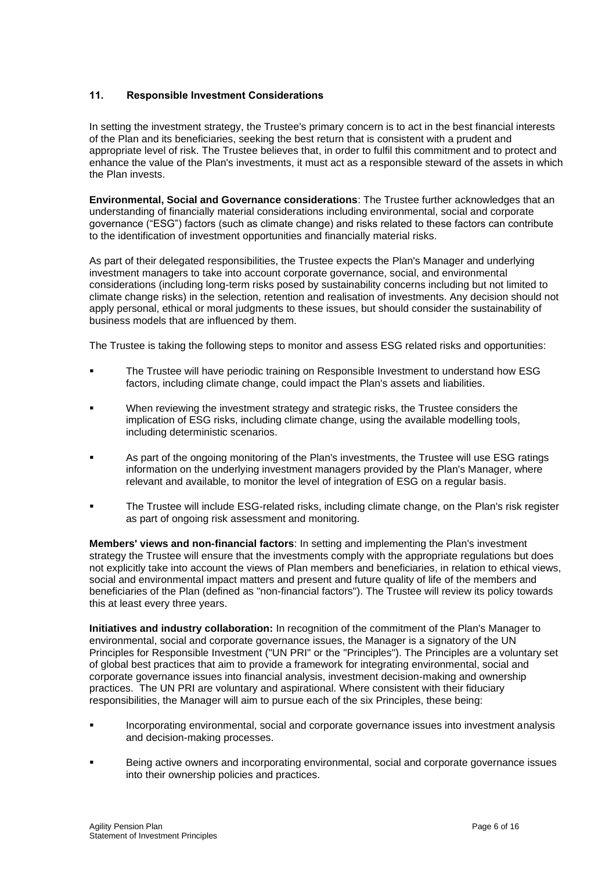# **11. Responsible Investment Considerations**

In setting the investment strategy, the Trustee's primary concern is to act in the best financial interests of the Plan and its beneficiaries, seeking the best return that is consistent with a prudent and appropriate level of risk. The Trustee believes that, in order to fulfil this commitment and to protect and enhance the value of the Plan's investments, it must act as a responsible steward of the assets in which the Plan invests.

**Environmental, Social and Governance considerations**: The Trustee further acknowledges that an understanding of financially material considerations including environmental, social and corporate governance ("ESG") factors (such as climate change) and risks related to these factors can contribute to the identification of investment opportunities and financially material risks.

As part of their delegated responsibilities, the Trustee expects the Plan's Manager and underlying investment managers to take into account corporate governance, social, and environmental considerations (including long-term risks posed by sustainability concerns including but not limited to climate change risks) in the selection, retention and realisation of investments. Any decision should not apply personal, ethical or moral judgments to these issues, but should consider the sustainability of business models that are influenced by them.

The Trustee is taking the following steps to monitor and assess ESG related risks and opportunities:

- The Trustee will have periodic training on Responsible Investment to understand how ESG factors, including climate change, could impact the Plan's assets and liabilities.
- When reviewing the investment strategy and strategic risks, the Trustee considers the implication of ESG risks, including climate change, using the available modelling tools, including deterministic scenarios.
- As part of the ongoing monitoring of the Plan's investments, the Trustee will use ESG ratings information on the underlying investment managers provided by the Plan's Manager, where relevant and available, to monitor the level of integration of ESG on a regular basis.
- The Trustee will include ESG-related risks, including climate change, on the Plan's risk register as part of ongoing risk assessment and monitoring.

**Members' views and non-financial factors**: In setting and implementing the Plan's investment strategy the Trustee will ensure that the investments comply with the appropriate regulations but does not explicitly take into account the views of Plan members and beneficiaries, in relation to ethical views, social and environmental impact matters and present and future quality of life of the members and beneficiaries of the Plan (defined as "non-financial factors"). The Trustee will review its policy towards this at least every three years.

**Initiatives and industry collaboration:** In recognition of the commitment of the Plan's Manager to environmental, social and corporate governance issues, the Manager is a signatory of the UN Principles for Responsible Investment ("UN PRI" or the "Principles"). The Principles are a voluntary set of global best practices that aim to provide a framework for integrating environmental, social and corporate governance issues into financial analysis, investment decision-making and ownership practices. The UN PRI are voluntary and aspirational. Where consistent with their fiduciary responsibilities, the Manager will aim to pursue each of the six Principles, these being:

- Incorporating environmental, social and corporate governance issues into investment analysis and decision-making processes.
- Being active owners and incorporating environmental, social and corporate governance issues into their ownership policies and practices.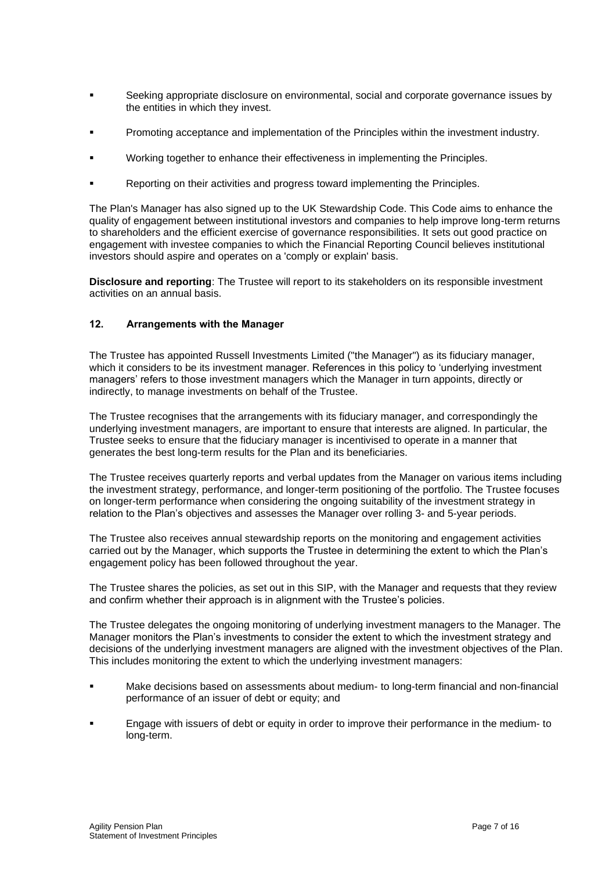- Seeking appropriate disclosure on environmental, social and corporate governance issues by the entities in which they invest.
- Promoting acceptance and implementation of the Principles within the investment industry.
- Working together to enhance their effectiveness in implementing the Principles.
- Reporting on their activities and progress toward implementing the Principles.

The Plan's Manager has also signed up to the UK Stewardship Code. This Code aims to enhance the quality of engagement between institutional investors and companies to help improve long-term returns to shareholders and the efficient exercise of governance responsibilities. It sets out good practice on engagement with investee companies to which the Financial Reporting Council believes institutional investors should aspire and operates on a 'comply or explain' basis.

**Disclosure and reporting**: The Trustee will report to its stakeholders on its responsible investment activities on an annual basis.

## **12. Arrangements with the Manager**

The Trustee has appointed Russell Investments Limited ("the Manager") as its fiduciary manager, which it considers to be its investment manager. References in this policy to 'underlying investment managers' refers to those investment managers which the Manager in turn appoints, directly or indirectly, to manage investments on behalf of the Trustee.

The Trustee recognises that the arrangements with its fiduciary manager, and correspondingly the underlying investment managers, are important to ensure that interests are aligned. In particular, the Trustee seeks to ensure that the fiduciary manager is incentivised to operate in a manner that generates the best long-term results for the Plan and its beneficiaries.

The Trustee receives quarterly reports and verbal updates from the Manager on various items including the investment strategy, performance, and longer-term positioning of the portfolio. The Trustee focuses on longer-term performance when considering the ongoing suitability of the investment strategy in relation to the Plan's objectives and assesses the Manager over rolling 3- and 5-year periods.

The Trustee also receives annual stewardship reports on the monitoring and engagement activities carried out by the Manager, which supports the Trustee in determining the extent to which the Plan's engagement policy has been followed throughout the year.

The Trustee shares the policies, as set out in this SIP, with the Manager and requests that they review and confirm whether their approach is in alignment with the Trustee's policies.

The Trustee delegates the ongoing monitoring of underlying investment managers to the Manager. The Manager monitors the Plan's investments to consider the extent to which the investment strategy and decisions of the underlying investment managers are aligned with the investment objectives of the Plan. This includes monitoring the extent to which the underlying investment managers:

- Make decisions based on assessments about medium- to long-term financial and non-financial performance of an issuer of debt or equity; and
- Engage with issuers of debt or equity in order to improve their performance in the medium- to long-term.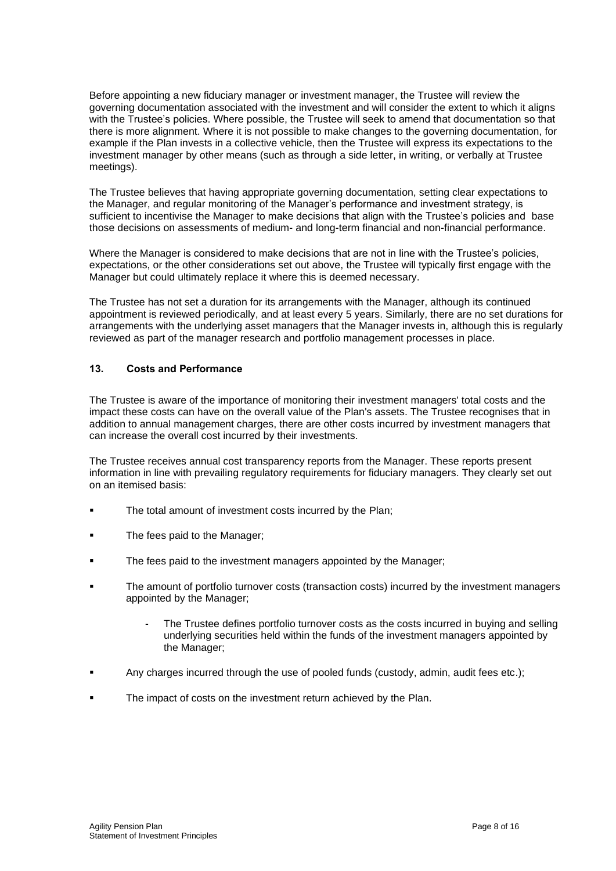Before appointing a new fiduciary manager or investment manager, the Trustee will review the governing documentation associated with the investment and will consider the extent to which it aligns with the Trustee's policies. Where possible, the Trustee will seek to amend that documentation so that there is more alignment. Where it is not possible to make changes to the governing documentation, for example if the Plan invests in a collective vehicle, then the Trustee will express its expectations to the investment manager by other means (such as through a side letter, in writing, or verbally at Trustee meetings).

The Trustee believes that having appropriate governing documentation, setting clear expectations to the Manager, and regular monitoring of the Manager's performance and investment strategy, is sufficient to incentivise the Manager to make decisions that align with the Trustee's policies and base those decisions on assessments of medium- and long-term financial and non-financial performance.

Where the Manager is considered to make decisions that are not in line with the Trustee's policies, expectations, or the other considerations set out above, the Trustee will typically first engage with the Manager but could ultimately replace it where this is deemed necessary.

The Trustee has not set a duration for its arrangements with the Manager, although its continued appointment is reviewed periodically, and at least every 5 years. Similarly, there are no set durations for arrangements with the underlying asset managers that the Manager invests in, although this is regularly reviewed as part of the manager research and portfolio management processes in place.

## **13. Costs and Performance**

The Trustee is aware of the importance of monitoring their investment managers' total costs and the impact these costs can have on the overall value of the Plan's assets. The Trustee recognises that in addition to annual management charges, there are other costs incurred by investment managers that can increase the overall cost incurred by their investments.

The Trustee receives annual cost transparency reports from the Manager. These reports present information in line with prevailing regulatory requirements for fiduciary managers. They clearly set out on an itemised basis:

- The total amount of investment costs incurred by the Plan;
- The fees paid to the Manager;
- The fees paid to the investment managers appointed by the Manager;
- The amount of portfolio turnover costs (transaction costs) incurred by the investment managers appointed by the Manager;
	- The Trustee defines portfolio turnover costs as the costs incurred in buying and selling underlying securities held within the funds of the investment managers appointed by the Manager;
- Any charges incurred through the use of pooled funds (custody, admin, audit fees etc.);
- The impact of costs on the investment return achieved by the Plan.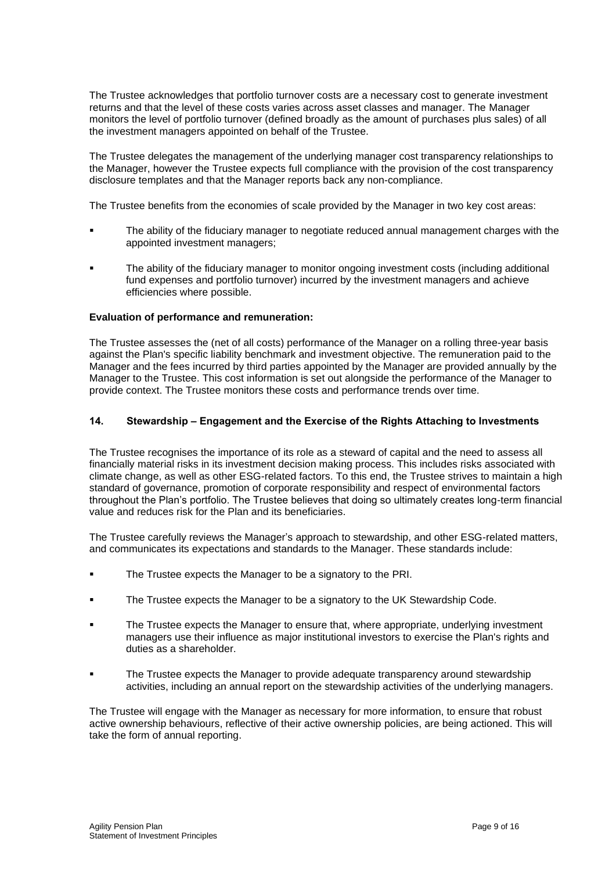The Trustee acknowledges that portfolio turnover costs are a necessary cost to generate investment returns and that the level of these costs varies across asset classes and manager. The Manager monitors the level of portfolio turnover (defined broadly as the amount of purchases plus sales) of all the investment managers appointed on behalf of the Trustee.

The Trustee delegates the management of the underlying manager cost transparency relationships to the Manager, however the Trustee expects full compliance with the provision of the cost transparency disclosure templates and that the Manager reports back any non-compliance.

The Trustee benefits from the economies of scale provided by the Manager in two key cost areas:

- The ability of the fiduciary manager to negotiate reduced annual management charges with the appointed investment managers;
- The ability of the fiduciary manager to monitor ongoing investment costs (including additional fund expenses and portfolio turnover) incurred by the investment managers and achieve efficiencies where possible.

### **Evaluation of performance and remuneration:**

The Trustee assesses the (net of all costs) performance of the Manager on a rolling three-year basis against the Plan's specific liability benchmark and investment objective. The remuneration paid to the Manager and the fees incurred by third parties appointed by the Manager are provided annually by the Manager to the Trustee. This cost information is set out alongside the performance of the Manager to provide context. The Trustee monitors these costs and performance trends over time.

### **14. Stewardship – Engagement and the Exercise of the Rights Attaching to Investments**

The Trustee recognises the importance of its role as a steward of capital and the need to assess all financially material risks in its investment decision making process. This includes risks associated with climate change, as well as other ESG-related factors. To this end, the Trustee strives to maintain a high standard of governance, promotion of corporate responsibility and respect of environmental factors throughout the Plan's portfolio. The Trustee believes that doing so ultimately creates long-term financial value and reduces risk for the Plan and its beneficiaries.

The Trustee carefully reviews the Manager's approach to stewardship, and other ESG-related matters, and communicates its expectations and standards to the Manager. These standards include:

- The Trustee expects the Manager to be a signatory to the PRI.
- The Trustee expects the Manager to be a signatory to the UK Stewardship Code.
- The Trustee expects the Manager to ensure that, where appropriate, underlying investment managers use their influence as major institutional investors to exercise the Plan's rights and duties as a shareholder.
- The Trustee expects the Manager to provide adequate transparency around stewardship activities, including an annual report on the stewardship activities of the underlying managers.

The Trustee will engage with the Manager as necessary for more information, to ensure that robust active ownership behaviours, reflective of their active ownership policies, are being actioned. This will take the form of annual reporting.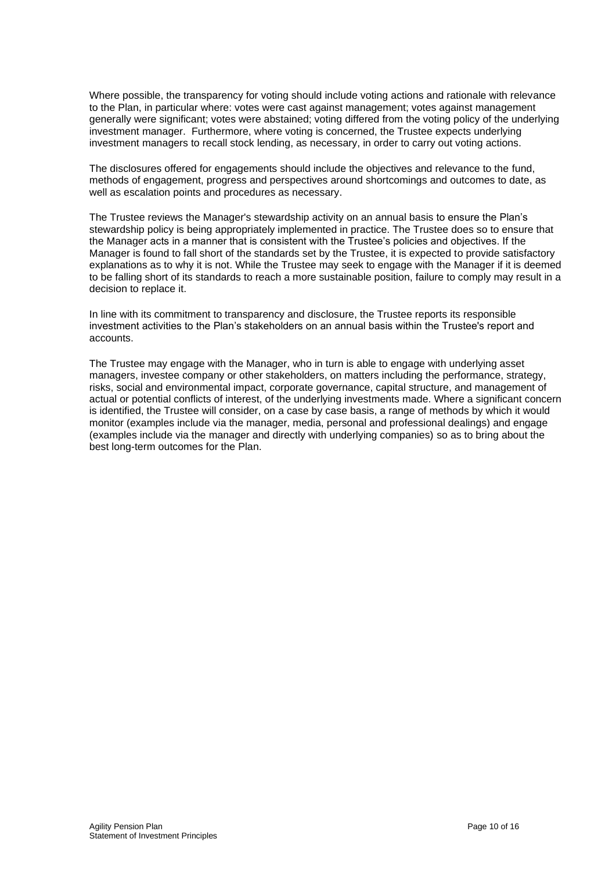Where possible, the transparency for voting should include voting actions and rationale with relevance to the Plan, in particular where: votes were cast against management; votes against management generally were significant; votes were abstained; voting differed from the voting policy of the underlying investment manager. Furthermore, where voting is concerned, the Trustee expects underlying investment managers to recall stock lending, as necessary, in order to carry out voting actions.

The disclosures offered for engagements should include the objectives and relevance to the fund, methods of engagement, progress and perspectives around shortcomings and outcomes to date, as well as escalation points and procedures as necessary.

The Trustee reviews the Manager's stewardship activity on an annual basis to ensure the Plan's stewardship policy is being appropriately implemented in practice. The Trustee does so to ensure that the Manager acts in a manner that is consistent with the Trustee's policies and objectives. If the Manager is found to fall short of the standards set by the Trustee, it is expected to provide satisfactory explanations as to why it is not. While the Trustee may seek to engage with the Manager if it is deemed to be falling short of its standards to reach a more sustainable position, failure to comply may result in a decision to replace it.

In line with its commitment to transparency and disclosure, the Trustee reports its responsible investment activities to the Plan's stakeholders on an annual basis within the Trustee's report and accounts.

The Trustee may engage with the Manager, who in turn is able to engage with underlying asset managers, investee company or other stakeholders, on matters including the performance, strategy, risks, social and environmental impact, corporate governance, capital structure, and management of actual or potential conflicts of interest, of the underlying investments made. Where a significant concern is identified, the Trustee will consider, on a case by case basis, a range of methods by which it would monitor (examples include via the manager, media, personal and professional dealings) and engage (examples include via the manager and directly with underlying companies) so as to bring about the best long-term outcomes for the Plan.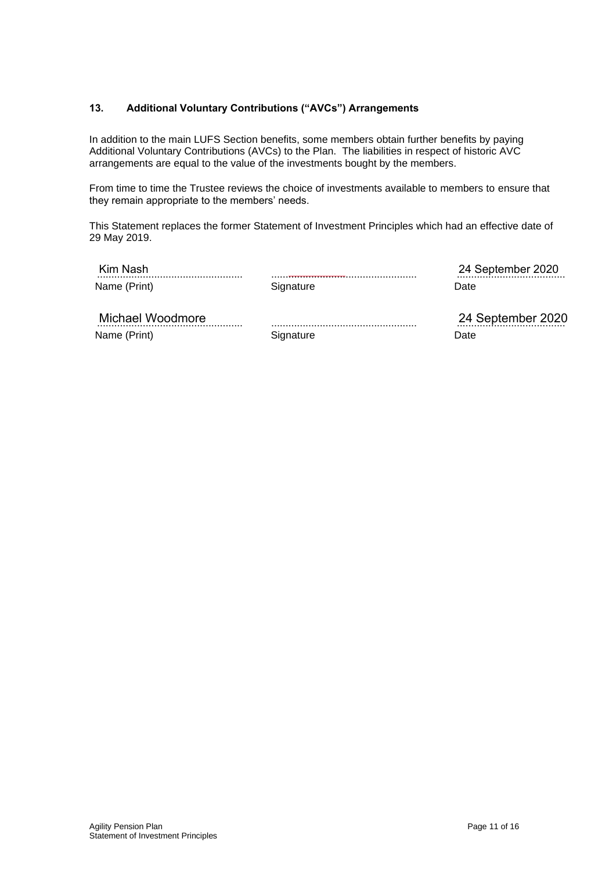# **13. Additional Voluntary Contributions ("AVCs") Arrangements**

In addition to the main LUFS Section benefits, some members obtain further benefits by paying Additional Voluntary Contributions (AVCs) to the Plan. The liabilities in respect of historic AVC arrangements are equal to the value of the investments bought by the members.

From time to time the Trustee reviews the choice of investments available to members to ensure that they remain appropriate to the members' needs.

This Statement replaces the former Statement of Investment Principles which had an effective date of 29 May 2019.

| Kim Nash<br>Name (Print) | Signature | 24 September 2020<br>Date |
|--------------------------|-----------|---------------------------|
| Michael Woodmore         |           | 24 September 2020         |

................................................... Name (Print)

**Signature** 

24 September 2020 Date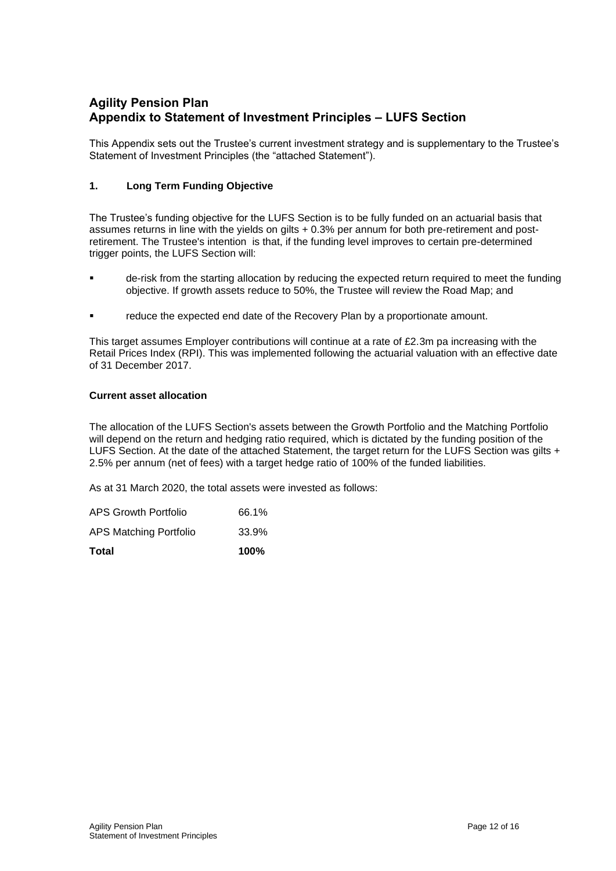# **Agility Pension Plan Appendix to Statement of Investment Principles – LUFS Section**

This Appendix sets out the Trustee's current investment strategy and is supplementary to the Trustee's Statement of Investment Principles (the "attached Statement").

# **1. Long Term Funding Objective**

The Trustee's funding objective for the LUFS Section is to be fully funded on an actuarial basis that assumes returns in line with the yields on gilts + 0.3% per annum for both pre-retirement and postretirement. The Trustee's intention is that, if the funding level improves to certain pre-determined trigger points, the LUFS Section will:

- de-risk from the starting allocation by reducing the expected return required to meet the funding objective. If growth assets reduce to 50%, the Trustee will review the Road Map; and
- reduce the expected end date of the Recovery Plan by a proportionate amount.

This target assumes Employer contributions will continue at a rate of £2.3m pa increasing with the Retail Prices Index (RPI). This was implemented following the actuarial valuation with an effective date of 31 December 2017.

## **Current asset allocation**

The allocation of the LUFS Section's assets between the Growth Portfolio and the Matching Portfolio will depend on the return and hedging ratio required, which is dictated by the funding position of the LUFS Section. At the date of the attached Statement, the target return for the LUFS Section was gilts + 2.5% per annum (net of fees) with a target hedge ratio of 100% of the funded liabilities.

As at 31 March 2020, the total assets were invested as follows:

| <b>Total</b>           | 100%  |
|------------------------|-------|
| APS Matching Portfolio | 33.9% |
| APS Growth Portfolio   | 66.1% |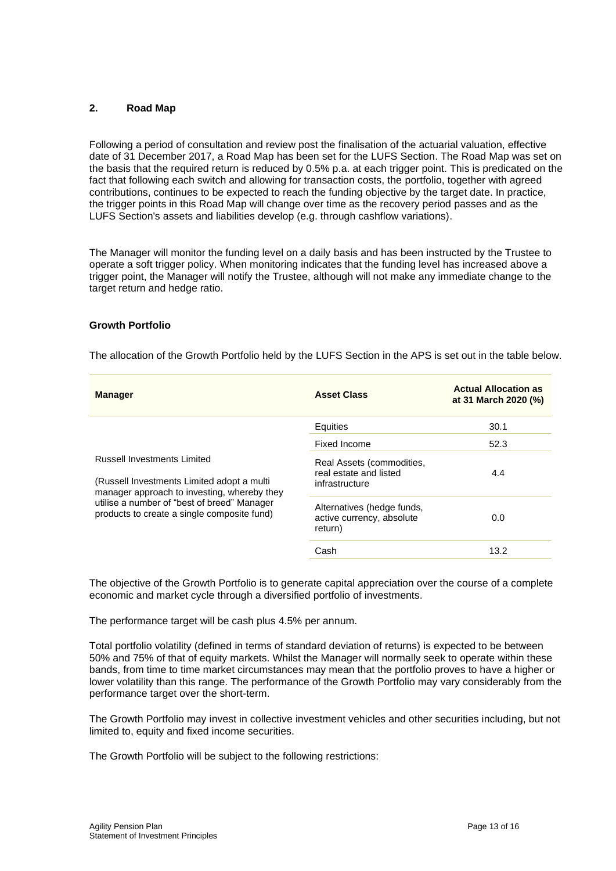### **2. Road Map**

Following a period of consultation and review post the finalisation of the actuarial valuation, effective date of 31 December 2017, a Road Map has been set for the LUFS Section. The Road Map was set on the basis that the required return is reduced by 0.5% p.a. at each trigger point. This is predicated on the fact that following each switch and allowing for transaction costs, the portfolio, together with agreed contributions, continues to be expected to reach the funding objective by the target date. In practice, the trigger points in this Road Map will change over time as the recovery period passes and as the LUFS Section's assets and liabilities develop (e.g. through cashflow variations).

The Manager will monitor the funding level on a daily basis and has been instructed by the Trustee to operate a soft trigger policy. When monitoring indicates that the funding level has increased above a trigger point, the Manager will notify the Trustee, although will not make any immediate change to the target return and hedge ratio.

#### **Growth Portfolio**

The allocation of the Growth Portfolio held by the LUFS Section in the APS is set out in the table below.

| <b>Manager</b>                                                                                                            | <b>Asset Class</b>                                                    | <b>Actual Allocation as</b><br>at 31 March 2020 (%) |
|---------------------------------------------------------------------------------------------------------------------------|-----------------------------------------------------------------------|-----------------------------------------------------|
|                                                                                                                           | Equities                                                              | 30.1                                                |
| Russell Investments Limited<br>(Russell Investments Limited adopt a multi)<br>manager approach to investing, whereby they | Fixed Income                                                          | 52.3                                                |
|                                                                                                                           | Real Assets (commodities,<br>real estate and listed<br>infrastructure | 4.4                                                 |
| utilise a number of "best of breed" Manager<br>products to create a single composite fund)                                | Alternatives (hedge funds,<br>active currency, absolute<br>return)    | 0.0                                                 |
|                                                                                                                           | Cash                                                                  | 13.2                                                |

The objective of the Growth Portfolio is to generate capital appreciation over the course of a complete economic and market cycle through a diversified portfolio of investments.

The performance target will be cash plus 4.5% per annum.

Total portfolio volatility (defined in terms of standard deviation of returns) is expected to be between 50% and 75% of that of equity markets. Whilst the Manager will normally seek to operate within these bands, from time to time market circumstances may mean that the portfolio proves to have a higher or lower volatility than this range. The performance of the Growth Portfolio may vary considerably from the performance target over the short-term.

The Growth Portfolio may invest in collective investment vehicles and other securities including, but not limited to, equity and fixed income securities.

The Growth Portfolio will be subject to the following restrictions: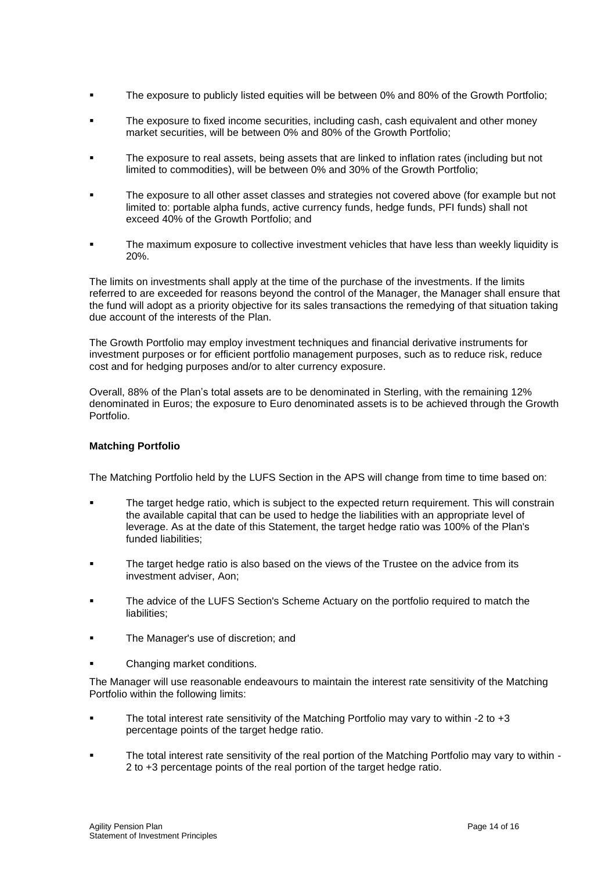- The exposure to publicly listed equities will be between 0% and 80% of the Growth Portfolio;
- The exposure to fixed income securities, including cash, cash equivalent and other money market securities, will be between 0% and 80% of the Growth Portfolio;
- The exposure to real assets, being assets that are linked to inflation rates (including but not limited to commodities), will be between 0% and 30% of the Growth Portfolio;
- The exposure to all other asset classes and strategies not covered above (for example but not limited to: portable alpha funds, active currency funds, hedge funds, PFI funds) shall not exceed 40% of the Growth Portfolio; and
- The maximum exposure to collective investment vehicles that have less than weekly liquidity is 20%.

The limits on investments shall apply at the time of the purchase of the investments. If the limits referred to are exceeded for reasons beyond the control of the Manager, the Manager shall ensure that the fund will adopt as a priority objective for its sales transactions the remedying of that situation taking due account of the interests of the Plan.

The Growth Portfolio may employ investment techniques and financial derivative instruments for investment purposes or for efficient portfolio management purposes, such as to reduce risk, reduce cost and for hedging purposes and/or to alter currency exposure.

Overall, 88% of the Plan's total assets are to be denominated in Sterling, with the remaining 12% denominated in Euros; the exposure to Euro denominated assets is to be achieved through the Growth Portfolio.

## **Matching Portfolio**

The Matching Portfolio held by the LUFS Section in the APS will change from time to time based on:

- The target hedge ratio, which is subject to the expected return requirement. This will constrain the available capital that can be used to hedge the liabilities with an appropriate level of leverage. As at the date of this Statement, the target hedge ratio was 100% of the Plan's funded liabilities;
- The target hedge ratio is also based on the views of the Trustee on the advice from its investment adviser, Aon;
- The advice of the LUFS Section's Scheme Actuary on the portfolio required to match the liabilities:
- The Manager's use of discretion; and
- Changing market conditions.

The Manager will use reasonable endeavours to maintain the interest rate sensitivity of the Matching Portfolio within the following limits:

- The total interest rate sensitivity of the Matching Portfolio may vary to within -2 to +3 percentage points of the target hedge ratio.
- The total interest rate sensitivity of the real portion of the Matching Portfolio may vary to within -2 to +3 percentage points of the real portion of the target hedge ratio.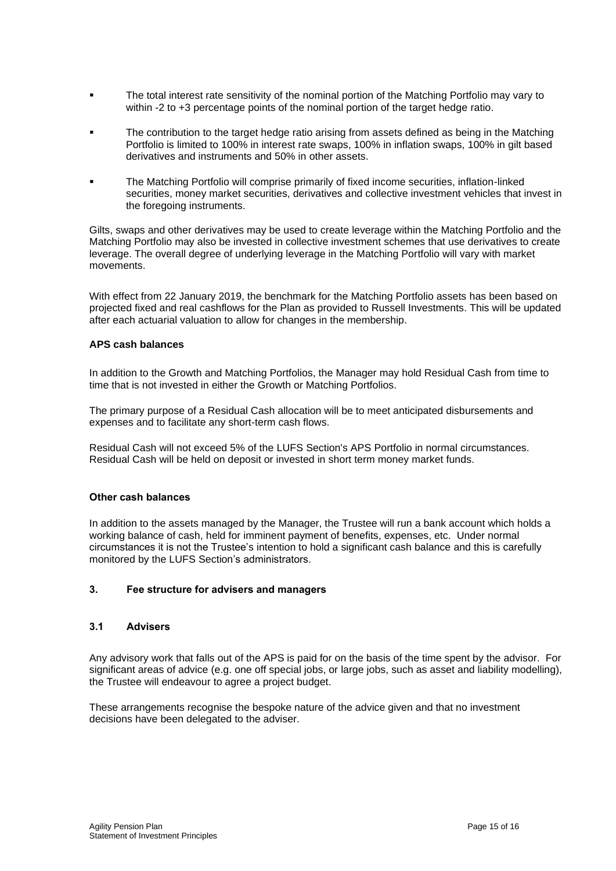- **The total interest rate sensitivity of the nominal portion of the Matching Portfolio may vary to** within -2 to +3 percentage points of the nominal portion of the target hedge ratio.
- The contribution to the target hedge ratio arising from assets defined as being in the Matching Portfolio is limited to 100% in interest rate swaps, 100% in inflation swaps, 100% in gilt based derivatives and instruments and 50% in other assets.
- The Matching Portfolio will comprise primarily of fixed income securities, inflation-linked securities, money market securities, derivatives and collective investment vehicles that invest in the foregoing instruments.

Gilts, swaps and other derivatives may be used to create leverage within the Matching Portfolio and the Matching Portfolio may also be invested in collective investment schemes that use derivatives to create leverage. The overall degree of underlying leverage in the Matching Portfolio will vary with market movements.

With effect from 22 January 2019, the benchmark for the Matching Portfolio assets has been based on projected fixed and real cashflows for the Plan as provided to Russell Investments. This will be updated after each actuarial valuation to allow for changes in the membership.

### **APS cash balances**

In addition to the Growth and Matching Portfolios, the Manager may hold Residual Cash from time to time that is not invested in either the Growth or Matching Portfolios.

The primary purpose of a Residual Cash allocation will be to meet anticipated disbursements and expenses and to facilitate any short-term cash flows.

Residual Cash will not exceed 5% of the LUFS Section's APS Portfolio in normal circumstances. Residual Cash will be held on deposit or invested in short term money market funds.

#### **Other cash balances**

In addition to the assets managed by the Manager, the Trustee will run a bank account which holds a working balance of cash, held for imminent payment of benefits, expenses, etc. Under normal circumstances it is not the Trustee's intention to hold a significant cash balance and this is carefully monitored by the LUFS Section's administrators.

#### **3. Fee structure for advisers and managers**

#### **3.1 Advisers**

Any advisory work that falls out of the APS is paid for on the basis of the time spent by the advisor. For significant areas of advice (e.g. one off special jobs, or large jobs, such as asset and liability modelling), the Trustee will endeavour to agree a project budget.

These arrangements recognise the bespoke nature of the advice given and that no investment decisions have been delegated to the adviser.